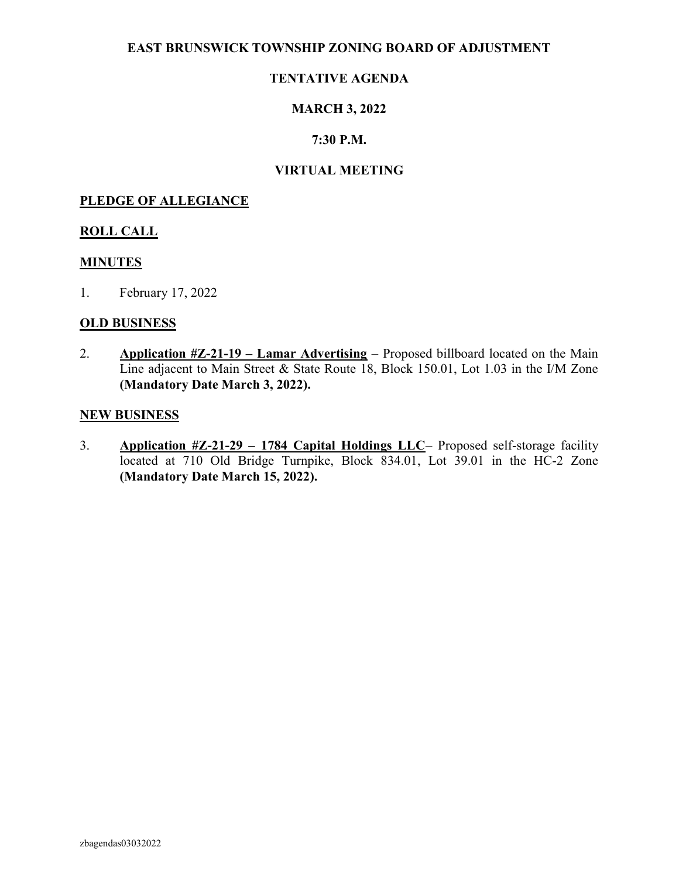#### EAST BRUNSWICK TOWNSHIP ZONING BOARD OF ADJUSTMENT

### TENTATIVE AGENDA

### MARCH 3, 2022

#### 7:30 P.M.

#### VIRTUAL MEETING

#### PLEDGE OF ALLEGIANCE

#### ROLL CALL

#### MINUTES

1. February 17, 2022

#### OLD BUSINESS

2. Application  $\#Z-21-19$  – Lamar Advertising – Proposed billboard located on the Main Line adjacent to Main Street & State Route 18, Block 150.01, Lot 1.03 in the I/M Zone (Mandatory Date March 3, 2022).

#### NEW BUSINESS

3. Application #Z-21-29 – 1784 Capital Holdings LLC– Proposed self-storage facility located at 710 Old Bridge Turnpike, Block 834.01, Lot 39.01 in the HC-2 Zone (Mandatory Date March 15, 2022).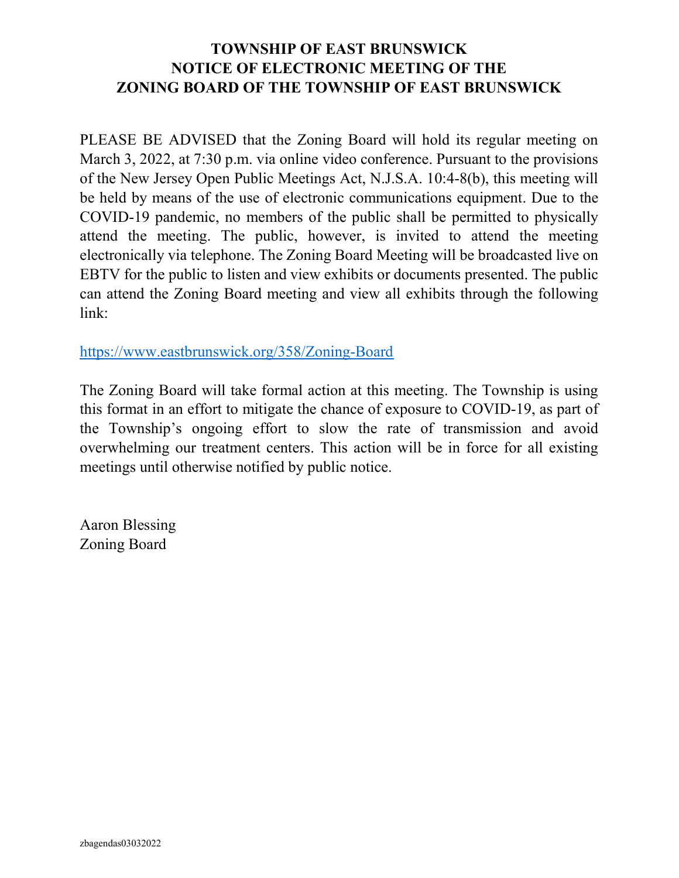## TOWNSHIP OF EAST BRUNSWICK NOTICE OF ELECTRONIC MEETING OF THE ZONING BOARD OF THE TOWNSHIP OF EAST BRUNSWICK

PLEASE BE ADVISED that the Zoning Board will hold its regular meeting on March 3, 2022, at 7:30 p.m. via online video conference. Pursuant to the provisions of the New Jersey Open Public Meetings Act, N.J.S.A. 10:4-8(b), this meeting will be held by means of the use of electronic communications equipment. Due to the COVID-19 pandemic, no members of the public shall be permitted to physically attend the meeting. The public, however, is invited to attend the meeting electronically via telephone. The Zoning Board Meeting will be broadcasted live on EBTV for the public to listen and view exhibits or documents presented. The public can attend the Zoning Board meeting and view all exhibits through the following link:

https://www.eastbrunswick.org/358/Zoning-Board

The Zoning Board will take formal action at this meeting. The Township is using this format in an effort to mitigate the chance of exposure to COVID-19, as part of the Township's ongoing effort to slow the rate of transmission and avoid overwhelming our treatment centers. This action will be in force for all existing meetings until otherwise notified by public notice.

Aaron Blessing Zoning Board